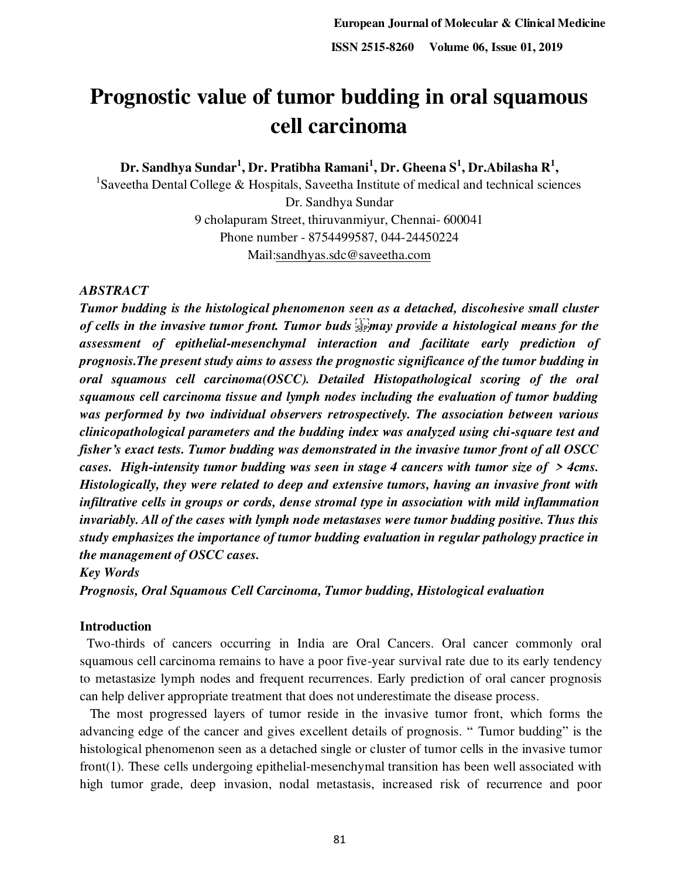# **Prognostic value of tumor budding in oral squamous cell carcinoma**

**Dr. Sandhya Sundar<sup>1</sup> , Dr. Pratibha Ramani<sup>1</sup> , Dr. Gheena S<sup>1</sup> , Dr.Abilasha R<sup>1</sup> ,**

<sup>1</sup>Saveetha Dental College & Hospitals, Saveetha Institute of medical and technical sciences Dr. Sandhya Sundar 9 cholapuram Street, thiruvanmiyur, Chennai- 600041 Phone number - 8754499587, 044-24450224 Mail[:sandhyas.sdc@saveetha.com](mailto:sandhyasundar0402@gmail.com)

#### *ABSTRACT*

*Tumor budding is the histological phenomenon seen as a detached, discohesive small cluster*  of cells in the invasive tumor front. Tumor buds step and provide a histological means for the *assessment of epithelial-mesenchymal interaction and facilitate early prediction of prognosis.The present study aims to assess the prognostic significance of the tumor budding in oral squamous cell carcinoma(OSCC). Detailed Histopathological scoring of the oral squamous cell carcinoma tissue and lymph nodes including the evaluation of tumor budding was performed by two individual observers retrospectively. The association between various clinicopathological parameters and the budding index was analyzed using chi-square test and fisher's exact tests. Tumor budding was demonstrated in the invasive tumor front of all OSCC cases. High-intensity tumor budding was seen in stage 4 cancers with tumor size of > 4cms. Histologically, they were related to deep and extensive tumors, having an invasive front with infiltrative cells in groups or cords, dense stromal type in association with mild inflammation invariably. All of the cases with lymph node metastases were tumor budding positive. Thus this study emphasizes the importance of tumor budding evaluation in regular pathology practice in the management of OSCC cases.* 

*Key Words* 

*Prognosis, Oral Squamous Cell Carcinoma, Tumor budding, Histological evaluation* 

#### **Introduction**

 Two-thirds of cancers occurring in India are Oral Cancers. Oral cancer commonly oral squamous cell carcinoma remains to have a poor five-year survival rate due to its early tendency to metastasize lymph nodes and frequent recurrences. Early prediction of oral cancer prognosis can help deliver appropriate treatment that does not underestimate the disease process.

 The most progressed layers of tumor reside in the invasive tumor front, which forms the advancing edge of the cancer and gives excellent details of prognosis. " Tumor budding" is the histological phenomenon seen as a detached single or cluster of tumor cells in the invasive tumor fron[t\(1\).](https://paperpile.com/c/n96kie/ww99) These cells undergoing epithelial-mesenchymal transition has been well associated with high tumor grade, deep invasion, nodal metastasis, increased risk of recurrence and poor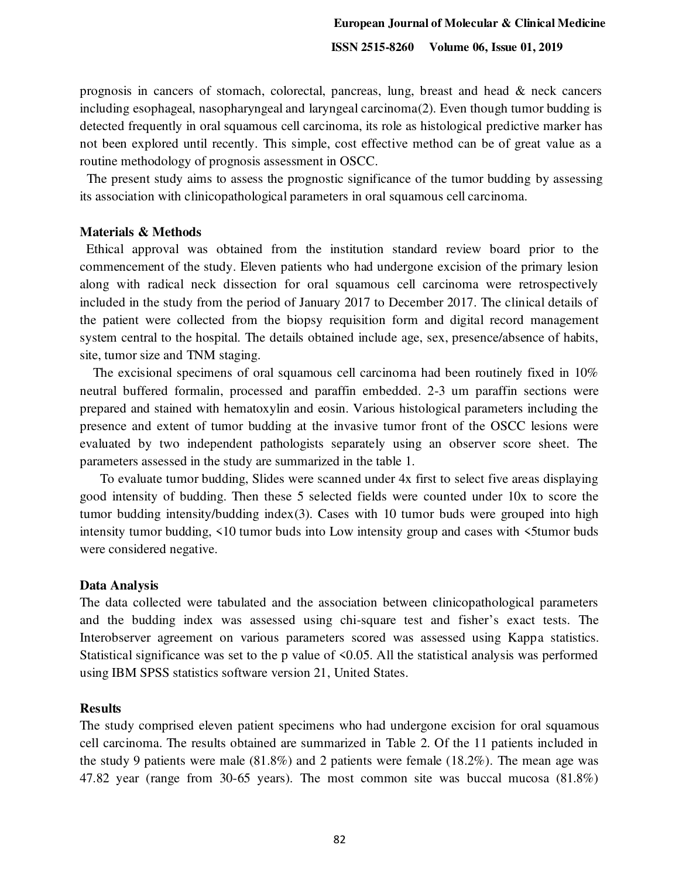prognosis in cancers of stomach, colorectal, pancreas, lung, breast and head & neck cancers including esophageal, nasopharyngeal and laryngeal carcinom[a\(2\).](https://paperpile.com/c/n96kie/2GJ4) Even though tumor budding is detected frequently in oral squamous cell carcinoma, its role as histological predictive marker has not been explored until recently. This simple, cost effective method can be of great value as a routine methodology of prognosis assessment in OSCC.

 The present study aims to assess the prognostic significance of the tumor budding by assessing its association with clinicopathological parameters in oral squamous cell carcinoma.

#### **Materials & Methods**

 Ethical approval was obtained from the institution standard review board prior to the commencement of the study. Eleven patients who had undergone excision of the primary lesion along with radical neck dissection for oral squamous cell carcinoma were retrospectively included in the study from the period of January 2017 to December 2017. The clinical details of the patient were collected from the biopsy requisition form and digital record management system central to the hospital. The details obtained include age, sex, presence/absence of habits, site, tumor size and TNM staging.

 The excisional specimens of oral squamous cell carcinoma had been routinely fixed in 10% neutral buffered formalin, processed and paraffin embedded. 2-3 um paraffin sections were prepared and stained with hematoxylin and eosin. Various histological parameters including the presence and extent of tumor budding at the invasive tumor front of the OSCC lesions were evaluated by two independent pathologists separately using an observer score sheet. The parameters assessed in the study are summarized in the table 1.

 To evaluate tumor budding, Slides were scanned under 4x first to select five areas displaying good intensity of budding. Then these 5 selected fields were counted under 10x to score the tumor budding intensity/budding inde[x\(3\).](https://paperpile.com/c/n96kie/ETe2) Cases with 10 tumor buds were grouped into high intensity tumor budding, <10 tumor buds into Low intensity group and cases with <5tumor buds were considered negative.

#### **Data Analysis**

The data collected were tabulated and the association between clinicopathological parameters and the budding index was assessed using chi-square test and fisher's exact tests. The Interobserver agreement on various parameters scored was assessed using Kappa statistics. Statistical significance was set to the p value of  $\leq 0.05$ . All the statistical analysis was performed using IBM SPSS statistics software version 21, United States.

#### **Results**

The study comprised eleven patient specimens who had undergone excision for oral squamous cell carcinoma. The results obtained are summarized in Table 2. Of the 11 patients included in the study 9 patients were male (81.8%) and 2 patients were female (18.2%). The mean age was 47.82 year (range from 30-65 years). The most common site was buccal mucosa (81.8%)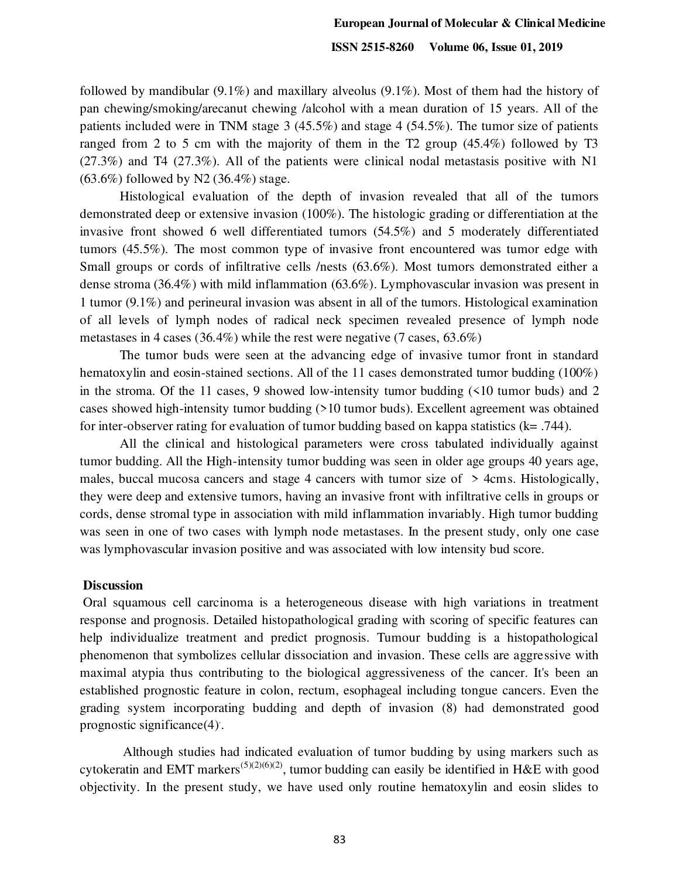followed by mandibular (9.1%) and maxillary alveolus (9.1%). Most of them had the history of pan chewing/smoking/arecanut chewing /alcohol with a mean duration of 15 years. All of the patients included were in TNM stage 3 (45.5%) and stage 4 (54.5%). The tumor size of patients ranged from 2 to 5 cm with the majority of them in the T2 group (45.4%) followed by T3  $(27.3\%)$  and T4  $(27.3\%)$ . All of the patients were clinical nodal metastasis positive with N1  $(63.6\%)$  followed by N2  $(36.4\%)$  stage.

Histological evaluation of the depth of invasion revealed that all of the tumors demonstrated deep or extensive invasion (100%). The histologic grading or differentiation at the invasive front showed 6 well differentiated tumors (54.5%) and 5 moderately differentiated tumors (45.5%). The most common type of invasive front encountered was tumor edge with Small groups or cords of infiltrative cells /nests (63.6%). Most tumors demonstrated either a dense stroma (36.4%) with mild inflammation (63.6%). Lymphovascular invasion was present in 1 tumor (9.1%) and perineural invasion was absent in all of the tumors. Histological examination of all levels of lymph nodes of radical neck specimen revealed presence of lymph node metastases in 4 cases (36.4%) while the rest were negative (7 cases, 63.6%)

The tumor buds were seen at the advancing edge of invasive tumor front in standard hematoxylin and eosin-stained sections. All of the 11 cases demonstrated tumor budding (100%) in the stroma. Of the 11 cases, 9 showed low-intensity tumor budding  $(510 \text{ tumor buds})$  and 2 cases showed high-intensity tumor budding (>10 tumor buds). Excellent agreement was obtained for inter-observer rating for evaluation of tumor budding based on kappa statistics (k= .744).

All the clinical and histological parameters were cross tabulated individually against tumor budding. All the High-intensity tumor budding was seen in older age groups 40 years age, males, buccal mucosa cancers and stage 4 cancers with tumor size of > 4cms. Histologically, they were deep and extensive tumors, having an invasive front with infiltrative cells in groups or cords, dense stromal type in association with mild inflammation invariably. High tumor budding was seen in one of two cases with lymph node metastases. In the present study, only one case was lymphovascular invasion positive and was associated with low intensity bud score.

#### **Discussion**

 Oral squamous cell carcinoma is a heterogeneous disease with high variations in treatment response and prognosis. Detailed histopathological grading with scoring of specific features can help individualize treatment and predict prognosis. Tumour budding is a histopathological phenomenon that symbolizes cellular dissociation and invasion. These cells are aggressive with maximal atypia thus contributing to the biological aggressiveness of the cancer. It's been an established prognostic feature in colon, rectum, esophageal including tongue cancers. Even the grading system incorporating budding and depth of invasion (8) had demonstrated good prognostic significanc[e\(4\)](https://paperpile.com/c/n96kie/Y0Wt). .

 Although studies had indicated evaluation of tumor budding by using markers such as cytokeratin and EMT markers<sup>[\(5\)\(2\)](https://paperpile.com/c/n96kie/YIQk)[\(6\)\(2\)](https://paperpile.com/c/n96kie/PeRN)</sup>, tumor budding can easily be identified in H&E with good objectivity. In the present study, we have used only routine hematoxylin and eosin slides to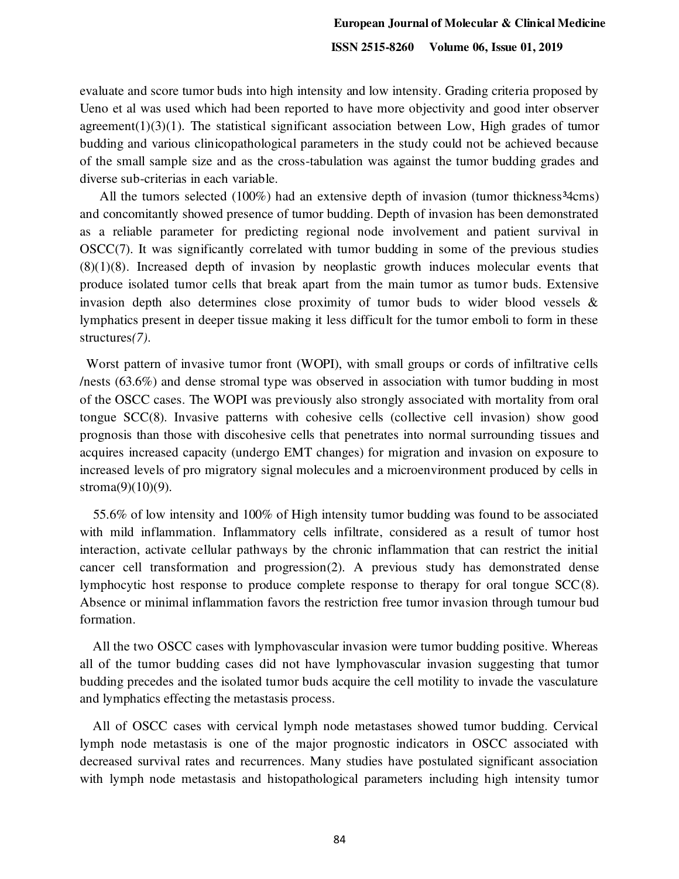evaluate and score tumor buds into high intensity and low intensity. Grading criteria proposed by Ueno et al was used which had been reported to have more objectivity and good inter observer agreement $(1)(3)(1)$ . The statistical significant association between Low, High grades of tumor budding and various clinicopathological parameters in the study could not be achieved because of the small sample size and as the cross-tabulation was against the tumor budding grades and diverse sub-criterias in each variable.

All the tumors selected  $(100\%)$  had an extensive depth of invasion (tumor thickness<sup>34</sup>cms) and concomitantly showed presence of tumor budding. Depth of invasion has been demonstrated as a reliable parameter for predicting regional node involvement and patient survival in OSC[C\(7\).](https://paperpile.com/c/n96kie/xJq3) It was significantly correlated with tumor budding in some of the previous studies  $(8)(1)(8)$ . Increased depth of invasion by neoplastic growth induces molecular events that produce isolated tumor cells that break apart from the main tumor as tumor buds. Extensive invasion depth also determines close proximity of tumor buds to wider blood vessels  $\&$ lymphatics present in deeper tissue making it less difficult for the tumor emboli to form in these structures*[\(7\)](https://paperpile.com/c/n96kie/xJq3)*.

 Worst pattern of invasive tumor front (WOPI), with small groups or cords of infiltrative cells /nests (63.6%) and dense stromal type was observed in association with tumor budding in most of the OSCC cases. The WOPI was previously also strongly associated with mortality from oral tongue SC[C\(8\).](https://paperpile.com/c/n96kie/zXYv) Invasive patterns with cohesive cells (collective cell invasion) show good prognosis than those with discohesive cells that penetrates into normal surrounding tissues and acquires increased capacity (undergo EMT changes) for migration and invasion on exposure to increased levels of pro migratory signal molecules and a microenvironment produced by cells in stroma $(9)(10)(9)$ .

 55.6% of low intensity and 100% of High intensity tumor budding was found to be associated with mild inflammation. Inflammatory cells infiltrate, considered as a result of tumor host interaction, activate cellular pathways by the chronic inflammation that can restrict the initial cancer cell transformation and progressio[n\(2\).](https://paperpile.com/c/n96kie/2GJ4) A previous study has demonstrated dense lymphocytic host response to produce complete response to therapy for oral tongue SC[C\(8\).](https://paperpile.com/c/n96kie/zXYv) Absence or minimal inflammation favors the restriction free tumor invasion through tumour bud formation.

 All the two OSCC cases with lymphovascular invasion were tumor budding positive. Whereas all of the tumor budding cases did not have lymphovascular invasion suggesting that tumor budding precedes and the isolated tumor buds acquire the cell motility to invade the vasculature and lymphatics effecting the metastasis process.

 All of OSCC cases with cervical lymph node metastases showed tumor budding. Cervical lymph node metastasis is one of the major prognostic indicators in OSCC associated with decreased survival rates and recurrences. Many studies have postulated significant association with lymph node metastasis and histopathological parameters including high intensity tumor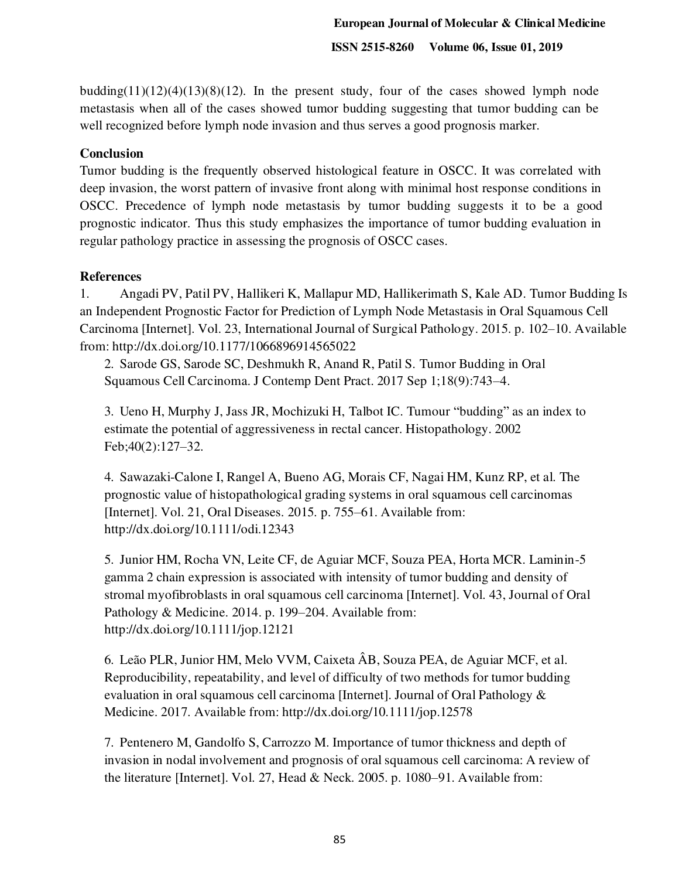budding $(11)(12)(4)(13)(8)(12)$  $(11)(12)(4)(13)(8)(12)$  $(11)(12)(4)(13)(8)(12)$ . In the present study, four of the cases showed lymph node metastasis when all of the cases showed tumor budding suggesting that tumor budding can be well recognized before lymph node invasion and thus serves a good prognosis marker.

## **Conclusion**

Tumor budding is the frequently observed histological feature in OSCC. It was correlated with deep invasion, the worst pattern of invasive front along with minimal host response conditions in OSCC. Precedence of lymph node metastasis by tumor budding suggests it to be a good prognostic indicator. Thus this study emphasizes the importance of tumor budding evaluation in regular pathology practice in assessing the prognosis of OSCC cases.

## **References**

1. [Angadi PV, Patil PV, Hallikeri K, Mallapur MD, Hallikerimath S, Kale AD. Tumor Budding Is](http://paperpile.com/b/n96kie/ww99)  [an Independent Prognostic Factor for Prediction of Lymph Node Metastasis in Oral Squamous Cell](http://paperpile.com/b/n96kie/ww99)  [Carcinoma \[Internet\]. Vol. 23, International Journal of Surgical Pathology. 2015. p. 102](http://paperpile.com/b/n96kie/ww99)–10. Available [from:](http://paperpile.com/b/n96kie/ww99) <http://dx.doi.org/10.1177/1066896914565022>

2. [Sarode GS, Sarode SC, Deshmukh R, Anand R, Patil S. Tumor Budding in Oral](http://paperpile.com/b/n96kie/2GJ4)  [Squamous Cell Carcinoma. J Contemp Dent Pract. 2017 Sep 1;18\(9\):743](http://paperpile.com/b/n96kie/2GJ4)–4.

3. [Ueno H, Murphy J, Jass JR, Mochizuki H, Talbot IC. Tumour](http://paperpile.com/b/n96kie/ETe2) "budding" as an index to [estimate the potential of aggressiveness in rectal cancer. Histopathology. 2002](http://paperpile.com/b/n96kie/ETe2)  [Feb;40\(2\):127](http://paperpile.com/b/n96kie/ETe2)–32.

4. [Sawazaki-Calone I, Rangel A, Bueno AG, Morais CF, Nagai HM, Kunz RP, et al. The](http://paperpile.com/b/n96kie/Y0Wt)  [prognostic value of histopathological grading systems in oral squamous cell carcinomas](http://paperpile.com/b/n96kie/Y0Wt)  [\[Internet\]. Vol. 21, Oral Diseases. 2015. p. 755](http://paperpile.com/b/n96kie/Y0Wt)–61. Available from: <http://dx.doi.org/10.1111/odi.12343>

5. [Junior HM, Rocha VN, Leite CF, de Aguiar MCF, Souza PEA, Horta MCR. Laminin-5](http://paperpile.com/b/n96kie/YIQk)  [gamma 2 chain expression is associated with intensity of tumor budding and density of](http://paperpile.com/b/n96kie/YIQk)  [stromal myofibroblasts in oral squamous cell carcinoma \[Internet\]. Vol. 43, Journal of Oral](http://paperpile.com/b/n96kie/YIQk)  [Pathology & Medicine. 2014. p. 199](http://paperpile.com/b/n96kie/YIQk)–204. Available from: <http://dx.doi.org/10.1111/jop.12121>

6. [Leão PLR, Junior HM, Melo VVM, Caixeta ÂB, Souza PEA, de Aguiar MCF, et al.](http://paperpile.com/b/n96kie/PeRN)  [Reproducibility, repeatability, and level of difficulty of two methods for tumor budding](http://paperpile.com/b/n96kie/PeRN)  [evaluation in oral squamous cell carcinoma \[Internet\]. Journal of Oral Pathology &](http://paperpile.com/b/n96kie/PeRN)  [Medicine. 2017. Available from:](http://paperpile.com/b/n96kie/PeRN) <http://dx.doi.org/10.1111/jop.12578>

7. [Pentenero M, Gandolfo S, Carrozzo M. Importance of tumor thickness and depth of](http://paperpile.com/b/n96kie/xJq3)  [invasion in nodal involvement and prognosis of oral squamous cell carcinoma: A review of](http://paperpile.com/b/n96kie/xJq3)  [the literature \[Internet\]. Vol. 27, Head & Neck. 2005. p. 1080](http://paperpile.com/b/n96kie/xJq3)–91. Available from: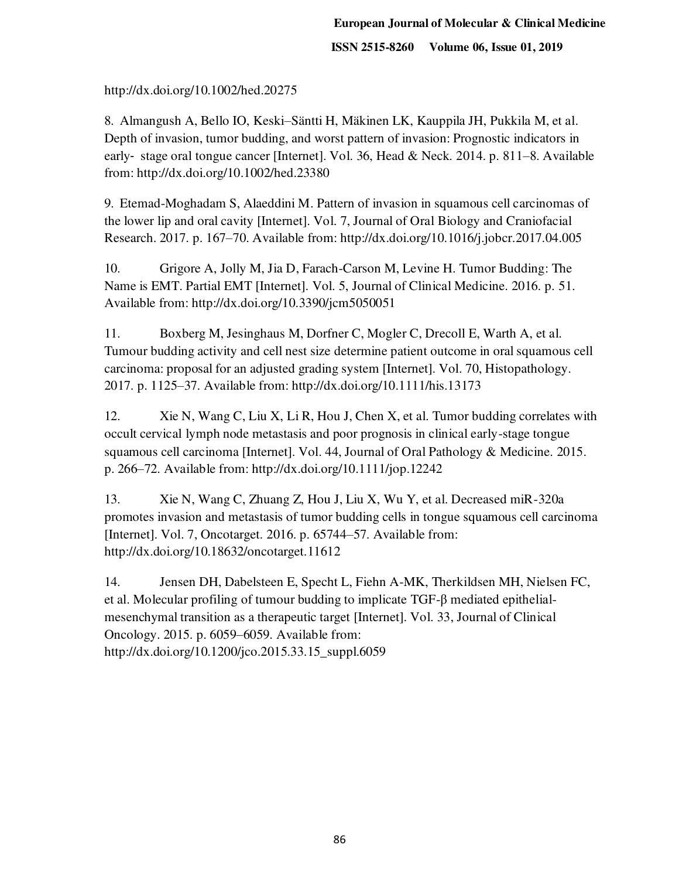<http://dx.doi.org/10.1002/hed.20275>

8. Almangush A, Bello IO, Keski–[Säntti H, Mäkinen LK, Kauppila JH, Pukkila M, et al.](http://paperpile.com/b/n96kie/zXYv)  [Depth of invasion, tumor budding, and worst pattern of invasion: Prognostic indicators in](http://paperpile.com/b/n96kie/zXYv)  early‐ [stage oral tongue cancer \[Internet\]. Vol. 36, Head & Neck. 2014. p. 811](http://paperpile.com/b/n96kie/zXYv)–8. Available [from:](http://paperpile.com/b/n96kie/zXYv) <http://dx.doi.org/10.1002/hed.23380>

9. [Etemad-Moghadam S, Alaeddini M. Pattern of invasion in squamous cell carcinomas of](http://paperpile.com/b/n96kie/GVQh)  [the lower lip and oral cavity \[Internet\]. Vol. 7, Journal of Oral Biology and Craniofacial](http://paperpile.com/b/n96kie/GVQh)  [Research. 2017. p. 167](http://paperpile.com/b/n96kie/GVQh)–70. Available from: [http://dx.doi.org/10.1016/j.jobcr.2017.04.005](http://paperpile.com/b/n96kie/GVQh) 

10. [Grigore A, Jolly M, Jia D, Farach-Carson M, Levine H. Tumor Budding: The](http://paperpile.com/b/n96kie/Qpy6)  [Name is EMT. Partial EMT \[Internet\]. Vol. 5, Journal of Clinical Medicine. 2016. p. 51.](http://paperpile.com/b/n96kie/Qpy6)  [Available from: http://dx.doi.org/10.3390/jcm5050051](http://paperpile.com/b/n96kie/Qpy6) 

11. [Boxberg M, Jesinghaus M, Dorfner C, Mogler C, Drecoll E, Warth A, et al.](http://paperpile.com/b/n96kie/WAzq)  [Tumour budding activity and cell nest size determine patient outcome in oral squamous cell](http://paperpile.com/b/n96kie/WAzq)  [carcinoma: proposal for an adjusted grading system \[Internet\]. Vol. 70, Histopathology.](http://paperpile.com/b/n96kie/WAzq)  2017. p. 1125–[37. Available from:](http://paperpile.com/b/n96kie/WAzq) <http://dx.doi.org/10.1111/his.13173>

12. [Xie N, Wang C, Liu X, Li R, Hou J, Chen X, et al. Tumor budding correlates with](http://paperpile.com/b/n96kie/a9sP)  [occult cervical lymph node metastasis and poor prognosis in clinical early-stage tongue](http://paperpile.com/b/n96kie/a9sP)  [squamous cell carcinoma \[Internet\]. Vol. 44, Journal of Oral Pathology & Medicine. 2015.](http://paperpile.com/b/n96kie/a9sP)  p. 266–[72. Available from:](http://paperpile.com/b/n96kie/a9sP) <http://dx.doi.org/10.1111/jop.12242>

13. [Xie N, Wang C, Zhuang Z, Hou J, Liu X, Wu Y, et al. Decreased miR-320a](http://paperpile.com/b/n96kie/yKUS)  [promotes invasion and metastasis of tumor budding cells in tongue squamous cell carcinoma](http://paperpile.com/b/n96kie/yKUS)  [\[Internet\]. Vol. 7, Oncotarget. 2016. p. 65744](http://paperpile.com/b/n96kie/yKUS)–57. Available from: <http://dx.doi.org/10.18632/oncotarget.11612>

14. [Jensen DH, Dabelsteen E, Specht L, Fiehn A-MK, Therkildsen MH, Nielsen FC,](http://paperpile.com/b/n96kie/dJVL)  [et al. Molecular profiling of tumour budding to implicate TGF-](http://paperpile.com/b/n96kie/dJVL)β mediated epithelial[mesenchymal transition as a therapeutic target \[Internet\]. Vol. 33, Journal of Clinical](http://paperpile.com/b/n96kie/dJVL)  [Oncology. 2015. p. 6059](http://paperpile.com/b/n96kie/dJVL)–6059. Available from: [http://dx.doi.org/10.1200/jco.2015.33.15\\_suppl.6059](http://dx.doi.org/10.1200/jco.2015.33.15_suppl.6059)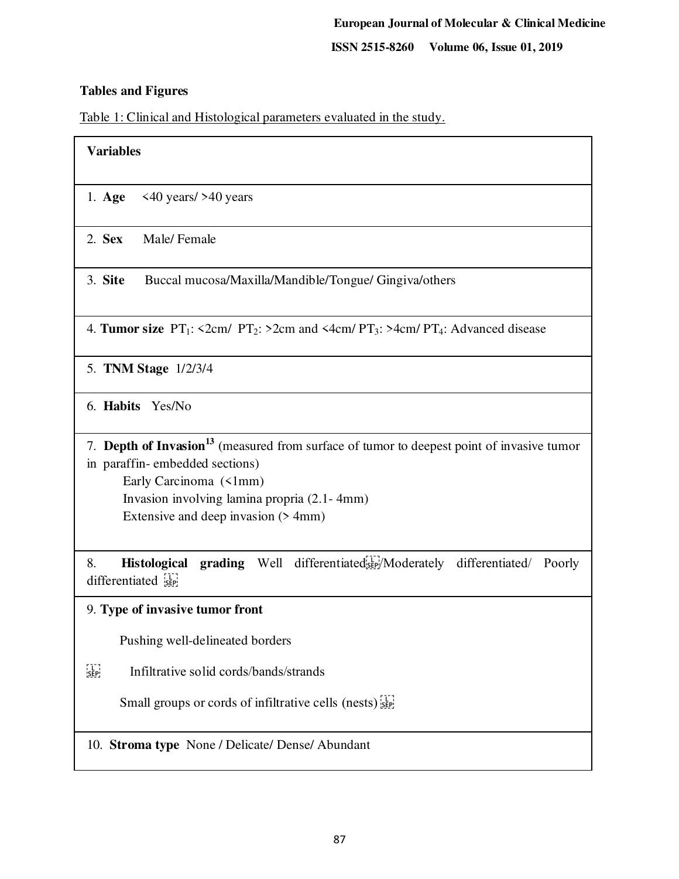### **Tables and Figures**

Table 1: Clinical and Histological parameters evaluated in the study.

| <b>Variables</b>                                                                              |  |  |  |
|-----------------------------------------------------------------------------------------------|--|--|--|
| $\langle 40 \ \text{years} / 240 \ \text{years}$<br>$1. \text{Age}$                           |  |  |  |
| $2.$ Sex<br>Male/Female                                                                       |  |  |  |
| 3. Site<br>Buccal mucosa/Maxilla/Mandible/Tongue/ Gingiva/others                              |  |  |  |
| 4. Tumor size $PT_1$ : <2cm/ $PT_2$ : >2cm and <4cm/ $PT_3$ : >4cm/ $PT_4$ : Advanced disease |  |  |  |
| 5. TNM Stage 1/2/3/4                                                                          |  |  |  |
| 6. Habits Yes/No                                                                              |  |  |  |

7. **Depth of Invasion<sup>13</sup>** (measured from surface of tumor to deepest point of invasive tumor in paraffin- embedded sections) Early Carcinoma (<1mm) Invasion involving lamina propria (2.1- 4mm) Extensive and deep invasion (> 4mm)

8. **Histological grading** Well differentiated step/Moderately differentiated/ Poorly differentiated see

9. **Type of invasive tumor front**

Pushing well-delineated borders

Infiltrative solid cords/bands/strands

Small groups or cords of infiltrative cells (nests)

10. **Stroma type** None / Delicate/ Dense/ Abundant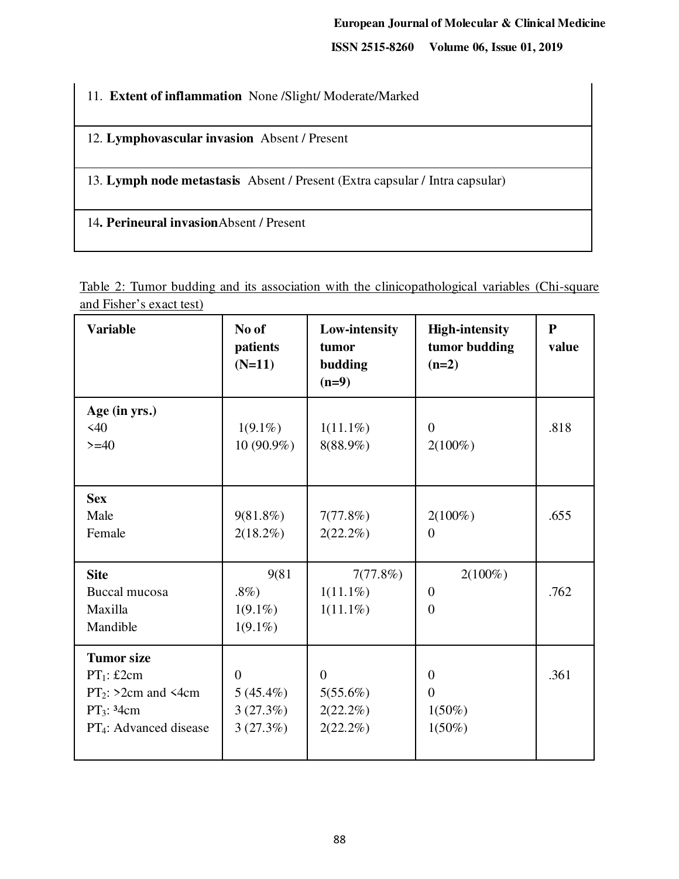**ISSN 2515-8260 Volume 06, Issue 01, 2019**

11. **Extent of inflammation** None /Slight/ Moderate/Marked

12. **Lymphovascular invasion** Absent / Present

13. **Lymph node metastasis** Absent / Present (Extra capsular / Intra capsular)

14**. Perineural invasion**Absent / Present

Table 2: Tumor budding and its association with the clinicopathological variables (Chi-square and Fisher's exact test)

| <b>Variable</b>                                                                                                     | No of<br>patients<br>$(N=11)$                         | Low-intensity<br>tumor<br>budding<br>$(n=9)$       | <b>High-intensity</b><br>tumor budding<br>$(n=2)$    | ${\bf P}$<br>value |
|---------------------------------------------------------------------------------------------------------------------|-------------------------------------------------------|----------------------------------------------------|------------------------------------------------------|--------------------|
| Age (in yrs.)<br><40<br>$>= 40$                                                                                     | $1(9.1\%)$<br>$10(90.9\%)$                            | $1(11.1\%)$<br>8(88.9%)                            | $\Omega$<br>$2(100\%)$                               | .818               |
| <b>Sex</b><br>Male<br>Female                                                                                        | $9(81.8\%)$<br>$2(18.2\%)$                            | 7(77.8%)<br>$2(22.2\%)$                            | $2(100\%)$<br>$\overline{0}$                         | .655               |
| <b>Site</b><br>Buccal mucosa<br>Maxilla<br>Mandible                                                                 | 9(81<br>$.8\%)$<br>$1(9.1\%)$<br>$1(9.1\%)$           | 7(77.8%)<br>$1(11.1\%)$<br>$1(11.1\%)$             | $2(100\%)$<br>$\overline{0}$<br>$\Omega$             | .762               |
| <b>Tumor</b> size<br>$PT_1$ : £2cm<br>$PT_2$ : >2cm and <4cm<br>$PT_3$ : 34cm<br>PT <sub>4</sub> : Advanced disease | $\overline{0}$<br>$5(45.4\%)$<br>3(27.3%)<br>3(27.3%) | $\Omega$<br>5(55.6%)<br>$2(22.2\%)$<br>$2(22.2\%)$ | $\overline{0}$<br>$\Omega$<br>$1(50\%)$<br>$1(50\%)$ | .361               |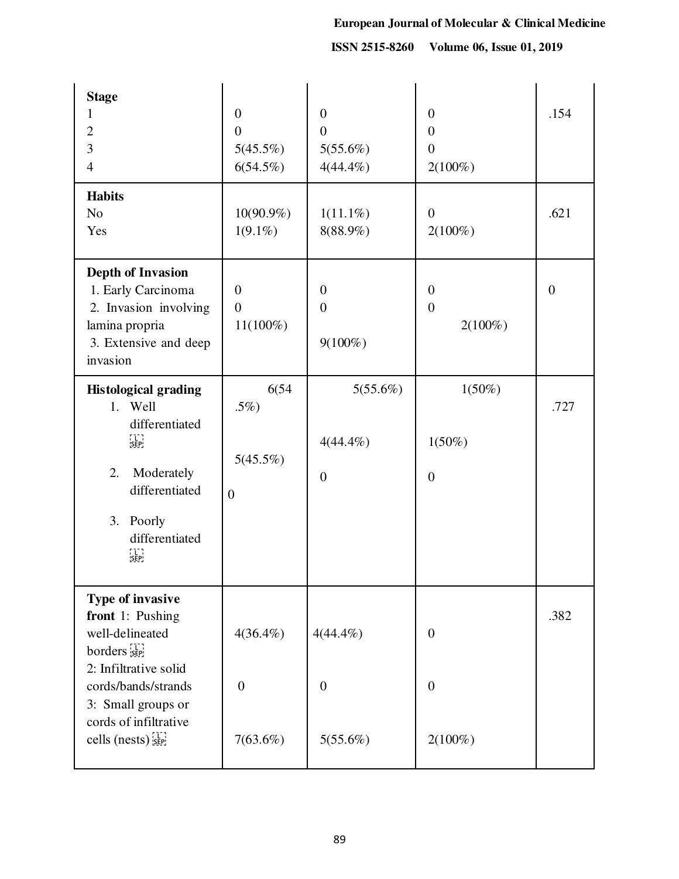**ISSN 2515-8260 Volume 06, Issue 01, 2019**

| <b>Stage</b><br>1<br>$\mathbf{2}$<br>$\overline{3}$<br>$\overline{4}$                                                                                                                                                              | $\mathbf{0}$<br>$\overline{0}$<br>5(45.5%)<br>6(54.5%) | $\overline{0}$<br>$\overline{0}$<br>5(55.6%)<br>$4(44.4\%)$ | $\boldsymbol{0}$<br>$\overline{0}$<br>$\overline{0}$<br>$2(100\%)$ | .154           |
|------------------------------------------------------------------------------------------------------------------------------------------------------------------------------------------------------------------------------------|--------------------------------------------------------|-------------------------------------------------------------|--------------------------------------------------------------------|----------------|
| <b>Habits</b><br>N <sub>o</sub><br>Yes                                                                                                                                                                                             | $10(90.9\%)$<br>$1(9.1\%)$                             | $1(11.1\%)$<br>8(88.9%)                                     | $\overline{0}$<br>$2(100\%)$                                       | .621           |
| <b>Depth of Invasion</b><br>1. Early Carcinoma<br>2. Invasion involving<br>lamina propria<br>3. Extensive and deep<br>invasion                                                                                                     | $\overline{0}$<br>$\overline{0}$<br>$11(100\%)$        | $\overline{0}$<br>$\overline{0}$<br>$9(100\%)$              | $\overline{0}$<br>$\overline{0}$<br>$2(100\%)$                     | $\overline{0}$ |
| <b>Histological grading</b><br>1. Well<br>differentiated<br>FIERE<br>ISERI<br>Moderately<br>2.<br>differentiated<br>3.<br>Poorly<br>differentiated<br>n<br>Sep                                                                     | 6(54)<br>.5%)<br>5(45.5%)<br>$\boldsymbol{0}$          | $5(55.6\%)$<br>$4(44.4\%)$<br>$\boldsymbol{0}$              | $1(50\%)$<br>$1(50\%)$<br>$\boldsymbol{0}$                         | .727           |
| Type of invasive<br>front 1: Pushing<br>well-delineated<br>$b$ orders $\left[\frac{1}{5E} \right]$<br>2: Infiltrative solid<br>cords/bands/strands<br>3: Small groups or<br>cords of infiltrative<br>cells (nests) $s_{\text{EP}}$ | $4(36.4\%)$<br>$\overline{0}$<br>$7(63.6\%)$           | $4(44.4\%)$<br>$\overline{0}$<br>5(55.6%)                   | $\boldsymbol{0}$<br>$\overline{0}$<br>$2(100\%)$                   | .382           |